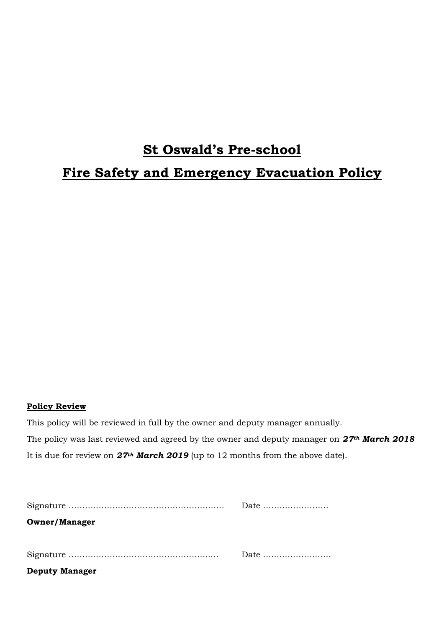# **St Oswald's Pre-school Fire Safety and Emergency Evacuation Policy**

## **Policy Review**

This policy will be reviewed in full by the owner and deputy manager annually. The policy was last reviewed and agreed by the owner and deputy manager on *27th March 2018* It is due for review on *27th March 2019* (up to 12 months from the above date).

| <b>Owner/Manager</b>  |                                                      |
|-----------------------|------------------------------------------------------|
|                       |                                                      |
|                       | Date $\dots\dots\dots\dots\dots\dots\dots\dots\dots$ |
| <b>Deputy Manager</b> |                                                      |